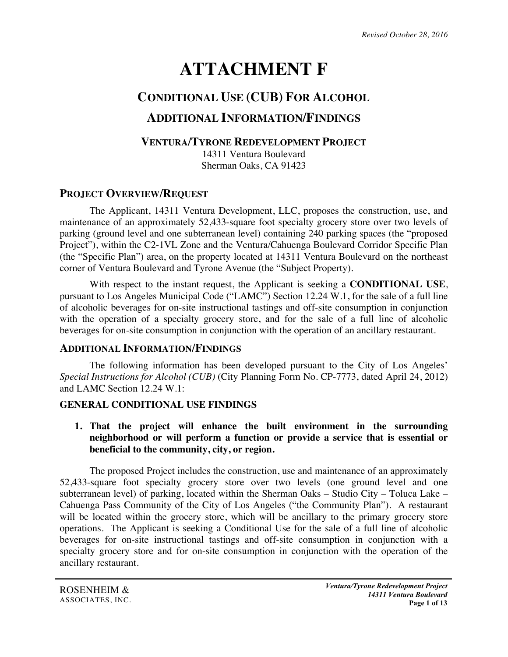# **ATTACHMENT F**

# **CONDITIONAL USE (CUB) FOR ALCOHOL ADDITIONAL INFORMATION/FINDINGS**

# **VENTURA/TYRONE REDEVELOPMENT PROJECT**

14311 Ventura Boulevard Sherman Oaks, CA 91423

# **PROJECT OVERVIEW/REQUEST**

The Applicant, 14311 Ventura Development, LLC, proposes the construction, use, and maintenance of an approximately 52,433-square foot specialty grocery store over two levels of parking (ground level and one subterranean level) containing 240 parking spaces (the "proposed Project"), within the C2-1VL Zone and the Ventura/Cahuenga Boulevard Corridor Specific Plan (the "Specific Plan") area, on the property located at 14311 Ventura Boulevard on the northeast corner of Ventura Boulevard and Tyrone Avenue (the "Subject Property).

With respect to the instant request, the Applicant is seeking a **CONDITIONAL USE**, pursuant to Los Angeles Municipal Code ("LAMC") Section 12.24 W.1, for the sale of a full line of alcoholic beverages for on-site instructional tastings and off-site consumption in conjunction with the operation of a specialty grocery store, and for the sale of a full line of alcoholic beverages for on-site consumption in conjunction with the operation of an ancillary restaurant.

# **ADDITIONAL INFORMATION/FINDINGS**

The following information has been developed pursuant to the City of Los Angeles' *Special Instructions for Alcohol (CUB)* (City Planning Form No. CP-7773, dated April 24, 2012) and LAMC Section 12.24 W.1:

# **GENERAL CONDITIONAL USE FINDINGS**

**1. That the project will enhance the built environment in the surrounding neighborhood or will perform a function or provide a service that is essential or beneficial to the community, city, or region.**

The proposed Project includes the construction, use and maintenance of an approximately 52,433-square foot specialty grocery store over two levels (one ground level and one subterranean level) of parking, located within the Sherman Oaks – Studio City – Toluca Lake – Cahuenga Pass Community of the City of Los Angeles ("the Community Plan"). A restaurant will be located within the grocery store, which will be ancillary to the primary grocery store operations. The Applicant is seeking a Conditional Use for the sale of a full line of alcoholic beverages for on-site instructional tastings and off-site consumption in conjunction with a specialty grocery store and for on-site consumption in conjunction with the operation of the ancillary restaurant.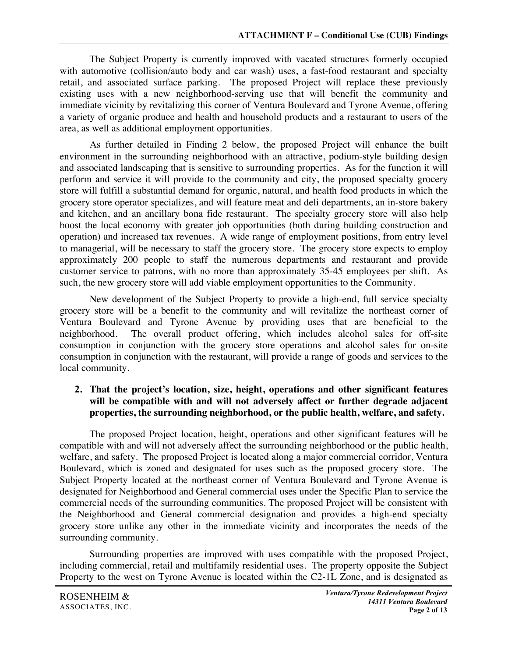The Subject Property is currently improved with vacated structures formerly occupied with automotive (collision/auto body and car wash) uses, a fast-food restaurant and specialty retail, and associated surface parking. The proposed Project will replace these previously existing uses with a new neighborhood-serving use that will benefit the community and immediate vicinity by revitalizing this corner of Ventura Boulevard and Tyrone Avenue, offering a variety of organic produce and health and household products and a restaurant to users of the area, as well as additional employment opportunities.

As further detailed in Finding 2 below, the proposed Project will enhance the built environment in the surrounding neighborhood with an attractive, podium-style building design and associated landscaping that is sensitive to surrounding properties. As for the function it will perform and service it will provide to the community and city, the proposed specialty grocery store will fulfill a substantial demand for organic, natural, and health food products in which the grocery store operator specializes, and will feature meat and deli departments, an in-store bakery and kitchen, and an ancillary bona fide restaurant. The specialty grocery store will also help boost the local economy with greater job opportunities (both during building construction and operation) and increased tax revenues. A wide range of employment positions, from entry level to managerial, will be necessary to staff the grocery store. The grocery store expects to employ approximately 200 people to staff the numerous departments and restaurant and provide customer service to patrons, with no more than approximately 35-45 employees per shift. As such, the new grocery store will add viable employment opportunities to the Community.

New development of the Subject Property to provide a high-end, full service specialty grocery store will be a benefit to the community and will revitalize the northeast corner of Ventura Boulevard and Tyrone Avenue by providing uses that are beneficial to the neighborhood. The overall product offering, which includes alcohol sales for off-site consumption in conjunction with the grocery store operations and alcohol sales for on-site consumption in conjunction with the restaurant, will provide a range of goods and services to the local community.

#### **2. That the project's location, size, height, operations and other significant features will be compatible with and will not adversely affect or further degrade adjacent properties, the surrounding neighborhood, or the public health, welfare, and safety.**

The proposed Project location, height, operations and other significant features will be compatible with and will not adversely affect the surrounding neighborhood or the public health, welfare, and safety. The proposed Project is located along a major commercial corridor, Ventura Boulevard, which is zoned and designated for uses such as the proposed grocery store. The Subject Property located at the northeast corner of Ventura Boulevard and Tyrone Avenue is designated for Neighborhood and General commercial uses under the Specific Plan to service the commercial needs of the surrounding communities. The proposed Project will be consistent with the Neighborhood and General commercial designation and provides a high-end specialty grocery store unlike any other in the immediate vicinity and incorporates the needs of the surrounding community.

Surrounding properties are improved with uses compatible with the proposed Project, including commercial, retail and multifamily residential uses. The property opposite the Subject Property to the west on Tyrone Avenue is located within the C2-1L Zone, and is designated as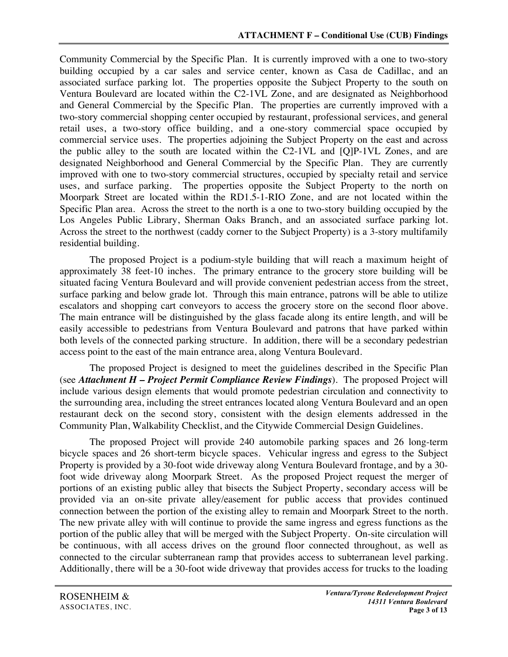Community Commercial by the Specific Plan. It is currently improved with a one to two-story building occupied by a car sales and service center, known as Casa de Cadillac, and an associated surface parking lot. The properties opposite the Subject Property to the south on Ventura Boulevard are located within the C2-1VL Zone, and are designated as Neighborhood and General Commercial by the Specific Plan. The properties are currently improved with a two-story commercial shopping center occupied by restaurant, professional services, and general retail uses, a two-story office building, and a one-story commercial space occupied by commercial service uses. The properties adjoining the Subject Property on the east and across the public alley to the south are located within the C2-1VL and [Q]P-1VL Zones, and are designated Neighborhood and General Commercial by the Specific Plan. They are currently improved with one to two-story commercial structures, occupied by specialty retail and service uses, and surface parking. The properties opposite the Subject Property to the north on Moorpark Street are located within the RD1.5-1-RIO Zone, and are not located within the Specific Plan area. Across the street to the north is a one to two-story building occupied by the Los Angeles Public Library, Sherman Oaks Branch, and an associated surface parking lot. Across the street to the northwest (caddy corner to the Subject Property) is a 3-story multifamily residential building.

The proposed Project is a podium-style building that will reach a maximum height of approximately 38 feet-10 inches. The primary entrance to the grocery store building will be situated facing Ventura Boulevard and will provide convenient pedestrian access from the street, surface parking and below grade lot. Through this main entrance, patrons will be able to utilize escalators and shopping cart conveyors to access the grocery store on the second floor above. The main entrance will be distinguished by the glass facade along its entire length, and will be easily accessible to pedestrians from Ventura Boulevard and patrons that have parked within both levels of the connected parking structure. In addition, there will be a secondary pedestrian access point to the east of the main entrance area, along Ventura Boulevard.

The proposed Project is designed to meet the guidelines described in the Specific Plan (see *Attachment H – Project Permit Compliance Review Findings*). The proposed Project will include various design elements that would promote pedestrian circulation and connectivity to the surrounding area, including the street entrances located along Ventura Boulevard and an open restaurant deck on the second story, consistent with the design elements addressed in the Community Plan, Walkability Checklist, and the Citywide Commercial Design Guidelines.

The proposed Project will provide 240 automobile parking spaces and 26 long-term bicycle spaces and 26 short-term bicycle spaces. Vehicular ingress and egress to the Subject Property is provided by a 30-foot wide driveway along Ventura Boulevard frontage, and by a 30 foot wide driveway along Moorpark Street. As the proposed Project request the merger of portions of an existing public alley that bisects the Subject Property, secondary access will be provided via an on-site private alley/easement for public access that provides continued connection between the portion of the existing alley to remain and Moorpark Street to the north. The new private alley with will continue to provide the same ingress and egress functions as the portion of the public alley that will be merged with the Subject Property. On-site circulation will be continuous, with all access drives on the ground floor connected throughout, as well as connected to the circular subterranean ramp that provides access to subterranean level parking. Additionally, there will be a 30-foot wide driveway that provides access for trucks to the loading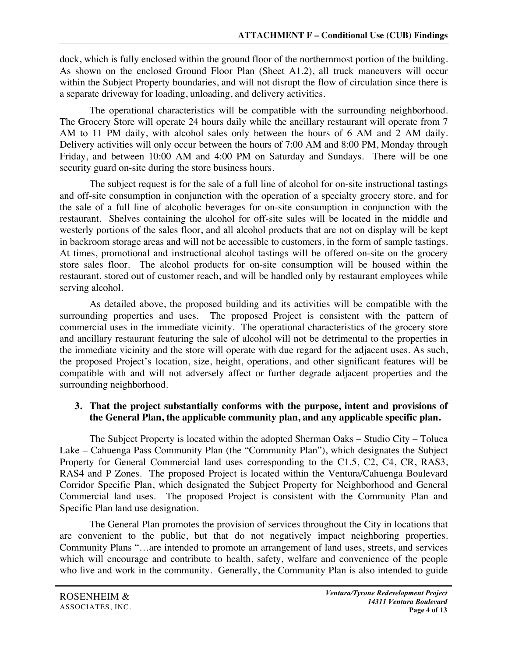dock, which is fully enclosed within the ground floor of the northernmost portion of the building. As shown on the enclosed Ground Floor Plan (Sheet A1.2), all truck maneuvers will occur within the Subject Property boundaries, and will not disrupt the flow of circulation since there is a separate driveway for loading, unloading, and delivery activities.

The operational characteristics will be compatible with the surrounding neighborhood. The Grocery Store will operate 24 hours daily while the ancillary restaurant will operate from 7 AM to 11 PM daily, with alcohol sales only between the hours of 6 AM and 2 AM daily. Delivery activities will only occur between the hours of 7:00 AM and 8:00 PM, Monday through Friday, and between 10:00 AM and 4:00 PM on Saturday and Sundays. There will be one security guard on-site during the store business hours.

The subject request is for the sale of a full line of alcohol for on-site instructional tastings and off-site consumption in conjunction with the operation of a specialty grocery store, and for the sale of a full line of alcoholic beverages for on-site consumption in conjunction with the restaurant. Shelves containing the alcohol for off-site sales will be located in the middle and westerly portions of the sales floor, and all alcohol products that are not on display will be kept in backroom storage areas and will not be accessible to customers, in the form of sample tastings. At times, promotional and instructional alcohol tastings will be offered on-site on the grocery store sales floor. The alcohol products for on-site consumption will be housed within the restaurant, stored out of customer reach, and will be handled only by restaurant employees while serving alcohol.

As detailed above, the proposed building and its activities will be compatible with the surrounding properties and uses. The proposed Project is consistent with the pattern of commercial uses in the immediate vicinity. The operational characteristics of the grocery store and ancillary restaurant featuring the sale of alcohol will not be detrimental to the properties in the immediate vicinity and the store will operate with due regard for the adjacent uses. As such, the proposed Project's location, size, height, operations, and other significant features will be compatible with and will not adversely affect or further degrade adjacent properties and the surrounding neighborhood.

#### **3. That the project substantially conforms with the purpose, intent and provisions of the General Plan, the applicable community plan, and any applicable specific plan.**

The Subject Property is located within the adopted Sherman Oaks – Studio City – Toluca Lake – Cahuenga Pass Community Plan (the "Community Plan"), which designates the Subject Property for General Commercial land uses corresponding to the C1.5, C2, C4, CR, RAS3, RAS4 and P Zones. The proposed Project is located within the Ventura/Cahuenga Boulevard Corridor Specific Plan, which designated the Subject Property for Neighborhood and General Commercial land uses. The proposed Project is consistent with the Community Plan and Specific Plan land use designation.

The General Plan promotes the provision of services throughout the City in locations that are convenient to the public, but that do not negatively impact neighboring properties. Community Plans "…are intended to promote an arrangement of land uses, streets, and services which will encourage and contribute to health, safety, welfare and convenience of the people who live and work in the community. Generally, the Community Plan is also intended to guide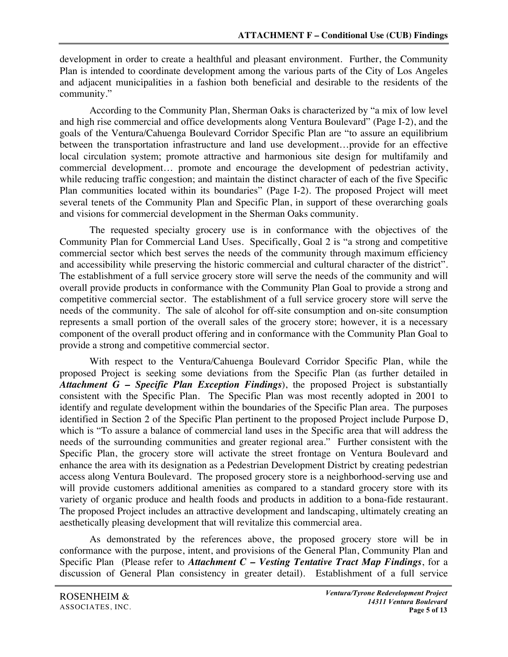development in order to create a healthful and pleasant environment. Further, the Community Plan is intended to coordinate development among the various parts of the City of Los Angeles and adjacent municipalities in a fashion both beneficial and desirable to the residents of the community."

According to the Community Plan, Sherman Oaks is characterized by "a mix of low level and high rise commercial and office developments along Ventura Boulevard" (Page I-2), and the goals of the Ventura/Cahuenga Boulevard Corridor Specific Plan are "to assure an equilibrium between the transportation infrastructure and land use development…provide for an effective local circulation system; promote attractive and harmonious site design for multifamily and commercial development… promote and encourage the development of pedestrian activity, while reducing traffic congestion; and maintain the distinct character of each of the five Specific Plan communities located within its boundaries" (Page I-2). The proposed Project will meet several tenets of the Community Plan and Specific Plan, in support of these overarching goals and visions for commercial development in the Sherman Oaks community.

The requested specialty grocery use is in conformance with the objectives of the Community Plan for Commercial Land Uses. Specifically, Goal 2 is "a strong and competitive commercial sector which best serves the needs of the community through maximum efficiency and accessibility while preserving the historic commercial and cultural character of the district". The establishment of a full service grocery store will serve the needs of the community and will overall provide products in conformance with the Community Plan Goal to provide a strong and competitive commercial sector. The establishment of a full service grocery store will serve the needs of the community. The sale of alcohol for off-site consumption and on-site consumption represents a small portion of the overall sales of the grocery store; however, it is a necessary component of the overall product offering and in conformance with the Community Plan Goal to provide a strong and competitive commercial sector.

With respect to the Ventura/Cahuenga Boulevard Corridor Specific Plan, while the proposed Project is seeking some deviations from the Specific Plan (as further detailed in *Attachment G – Specific Plan Exception Findings*), the proposed Project is substantially consistent with the Specific Plan. The Specific Plan was most recently adopted in 2001 to identify and regulate development within the boundaries of the Specific Plan area. The purposes identified in Section 2 of the Specific Plan pertinent to the proposed Project include Purpose D, which is "To assure a balance of commercial land uses in the Specific area that will address the needs of the surrounding communities and greater regional area." Further consistent with the Specific Plan, the grocery store will activate the street frontage on Ventura Boulevard and enhance the area with its designation as a Pedestrian Development District by creating pedestrian access along Ventura Boulevard. The proposed grocery store is a neighborhood-serving use and will provide customers additional amenities as compared to a standard grocery store with its variety of organic produce and health foods and products in addition to a bona-fide restaurant. The proposed Project includes an attractive development and landscaping, ultimately creating an aesthetically pleasing development that will revitalize this commercial area.

As demonstrated by the references above, the proposed grocery store will be in conformance with the purpose, intent, and provisions of the General Plan, Community Plan and Specific Plan (Please refer to *Attachment C – Vesting Tentative Tract Map Findings*, for a discussion of General Plan consistency in greater detail). Establishment of a full service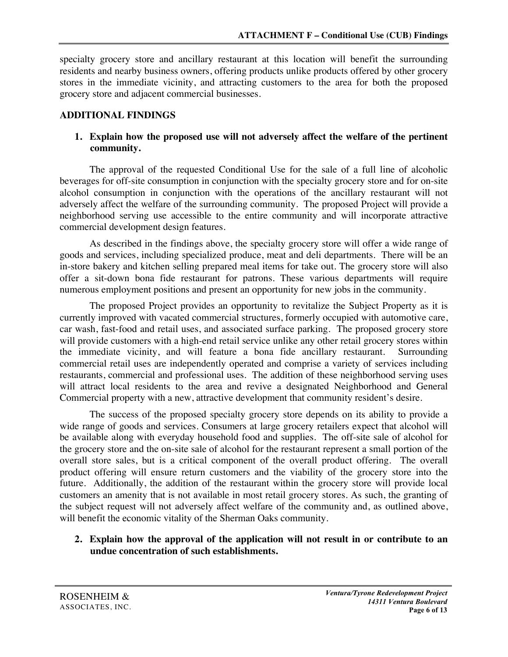specialty grocery store and ancillary restaurant at this location will benefit the surrounding residents and nearby business owners, offering products unlike products offered by other grocery stores in the immediate vicinity, and attracting customers to the area for both the proposed grocery store and adjacent commercial businesses.

#### **ADDITIONAL FINDINGS**

#### **1. Explain how the proposed use will not adversely affect the welfare of the pertinent community.**

The approval of the requested Conditional Use for the sale of a full line of alcoholic beverages for off-site consumption in conjunction with the specialty grocery store and for on-site alcohol consumption in conjunction with the operations of the ancillary restaurant will not adversely affect the welfare of the surrounding community. The proposed Project will provide a neighborhood serving use accessible to the entire community and will incorporate attractive commercial development design features.

As described in the findings above, the specialty grocery store will offer a wide range of goods and services, including specialized produce, meat and deli departments. There will be an in-store bakery and kitchen selling prepared meal items for take out. The grocery store will also offer a sit-down bona fide restaurant for patrons. These various departments will require numerous employment positions and present an opportunity for new jobs in the community.

The proposed Project provides an opportunity to revitalize the Subject Property as it is currently improved with vacated commercial structures, formerly occupied with automotive care, car wash, fast-food and retail uses, and associated surface parking. The proposed grocery store will provide customers with a high-end retail service unlike any other retail grocery stores within the immediate vicinity, and will feature a bona fide ancillary restaurant. Surrounding commercial retail uses are independently operated and comprise a variety of services including restaurants, commercial and professional uses. The addition of these neighborhood serving uses will attract local residents to the area and revive a designated Neighborhood and General Commercial property with a new, attractive development that community resident's desire.

The success of the proposed specialty grocery store depends on its ability to provide a wide range of goods and services. Consumers at large grocery retailers expect that alcohol will be available along with everyday household food and supplies. The off-site sale of alcohol for the grocery store and the on-site sale of alcohol for the restaurant represent a small portion of the overall store sales, but is a critical component of the overall product offering. The overall product offering will ensure return customers and the viability of the grocery store into the future. Additionally, the addition of the restaurant within the grocery store will provide local customers an amenity that is not available in most retail grocery stores. As such, the granting of the subject request will not adversely affect welfare of the community and, as outlined above, will benefit the economic vitality of the Sherman Oaks community.

**2. Explain how the approval of the application will not result in or contribute to an undue concentration of such establishments.**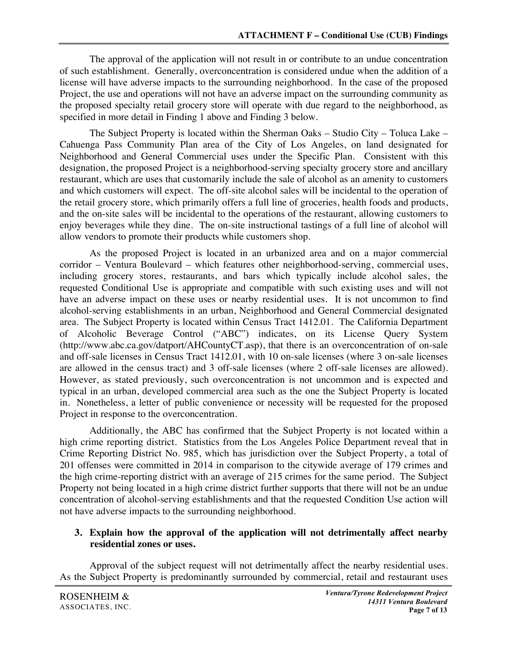The approval of the application will not result in or contribute to an undue concentration of such establishment. Generally, overconcentration is considered undue when the addition of a license will have adverse impacts to the surrounding neighborhood. In the case of the proposed Project, the use and operations will not have an adverse impact on the surrounding community as the proposed specialty retail grocery store will operate with due regard to the neighborhood, as specified in more detail in Finding 1 above and Finding 3 below.

The Subject Property is located within the Sherman Oaks – Studio City – Toluca Lake – Cahuenga Pass Community Plan area of the City of Los Angeles, on land designated for Neighborhood and General Commercial uses under the Specific Plan. Consistent with this designation, the proposed Project is a neighborhood-serving specialty grocery store and ancillary restaurant, which are uses that customarily include the sale of alcohol as an amenity to customers and which customers will expect. The off-site alcohol sales will be incidental to the operation of the retail grocery store, which primarily offers a full line of groceries, health foods and products, and the on-site sales will be incidental to the operations of the restaurant, allowing customers to enjoy beverages while they dine. The on-site instructional tastings of a full line of alcohol will allow vendors to promote their products while customers shop.

As the proposed Project is located in an urbanized area and on a major commercial corridor – Ventura Boulevard – which features other neighborhood-serving, commercial uses, including grocery stores, restaurants, and bars which typically include alcohol sales, the requested Conditional Use is appropriate and compatible with such existing uses and will not have an adverse impact on these uses or nearby residential uses. It is not uncommon to find alcohol-serving establishments in an urban, Neighborhood and General Commercial designated area. The Subject Property is located within Census Tract 1412.01. The California Department of Alcoholic Beverage Control ("ABC") indicates, on its License Query System (http://www.abc.ca.gov/datport/AHCountyCT.asp), that there is an overconcentration of on-sale and off-sale licenses in Census Tract 1412.01, with 10 on-sale licenses (where 3 on-sale licenses are allowed in the census tract) and 3 off-sale licenses (where 2 off-sale licenses are allowed). However, as stated previously, such overconcentration is not uncommon and is expected and typical in an urban, developed commercial area such as the one the Subject Property is located in. Nonetheless, a letter of public convenience or necessity will be requested for the proposed Project in response to the overconcentration.

Additionally, the ABC has confirmed that the Subject Property is not located within a high crime reporting district. Statistics from the Los Angeles Police Department reveal that in Crime Reporting District No. 985, which has jurisdiction over the Subject Property, a total of 201 offenses were committed in 2014 in comparison to the citywide average of 179 crimes and the high crime-reporting district with an average of 215 crimes for the same period. The Subject Property not being located in a high crime district further supports that there will not be an undue concentration of alcohol-serving establishments and that the requested Condition Use action will not have adverse impacts to the surrounding neighborhood.

#### **3. Explain how the approval of the application will not detrimentally affect nearby residential zones or uses.**

Approval of the subject request will not detrimentally affect the nearby residential uses. As the Subject Property is predominantly surrounded by commercial, retail and restaurant uses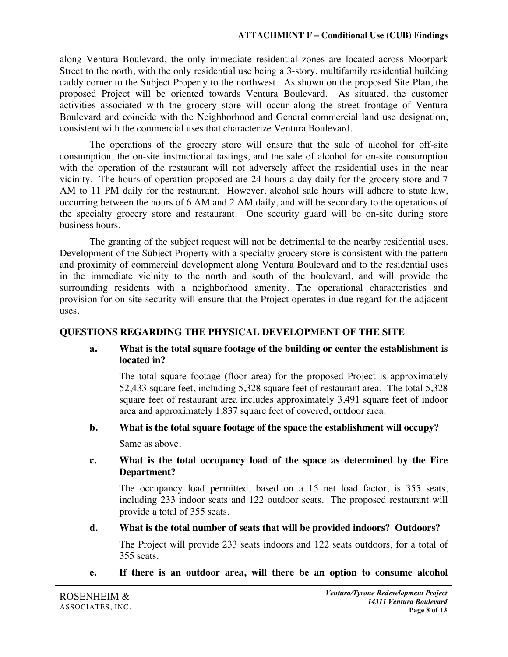along Ventura Boulevard, the only immediate residential zones are located across Moorpark Street to the north, with the only residential use being a 3-story, multifamily residential building caddy corner to the Subject Property to the northwest. As shown on the proposed Site Plan, the proposed Project will be oriented towards Ventura Boulevard. As situated, the customer activities associated with the grocery store will occur along the street frontage of Ventura Boulevard and coincide with the Neighborhood and General commercial land use designation, consistent with the commercial uses that characterize Ventura Boulevard.

The operations of the grocery store will ensure that the sale of alcohol for off-site consumption, the on-site instructional tastings, and the sale of alcohol for on-site consumption with the operation of the restaurant will not adversely affect the residential uses in the near vicinity. The hours of operation proposed are 24 hours a day daily for the grocery store and 7 AM to 11 PM daily for the restaurant. However, alcohol sale hours will adhere to state law, occurring between the hours of 6 AM and 2 AM daily, and will be secondary to the operations of the specialty grocery store and restaurant. One security guard will be on-site during store business hours.

The granting of the subject request will not be detrimental to the nearby residential uses. Development of the Subject Property with a specialty grocery store is consistent with the pattern and proximity of commercial development along Ventura Boulevard and to the residential uses in the immediate vicinity to the north and south of the boulevard, and will provide the surrounding residents with a neighborhood amenity. The operational characteristics and provision for on-site security will ensure that the Project operates in due regard for the adjacent uses.

#### **QUESTIONS REGARDING THE PHYSICAL DEVELOPMENT OF THE SITE**

#### **a. What is the total square footage of the building or center the establishment is located in?**

The total square footage (floor area) for the proposed Project is approximately 52,433 square feet, including 5,328 square feet of restaurant area. The total 5,328 square feet of restaurant area includes approximately 3,491 square feet of indoor area and approximately 1,837 square feet of covered, outdoor area.

# **b. What is the total square footage of the space the establishment will occupy?**

Same as above.

#### **c. What is the total occupancy load of the space as determined by the Fire Department?**

The occupancy load permitted, based on a 15 net load factor, is 355 seats, including 233 indoor seats and 122 outdoor seats. The proposed restaurant will provide a total of 355 seats.

#### **d. What is the total number of seats that will be provided indoors? Outdoors?**

The Project will provide 233 seats indoors and 122 seats outdoors, for a total of 355 seats.

**e. If there is an outdoor area, will there be an option to consume alcohol**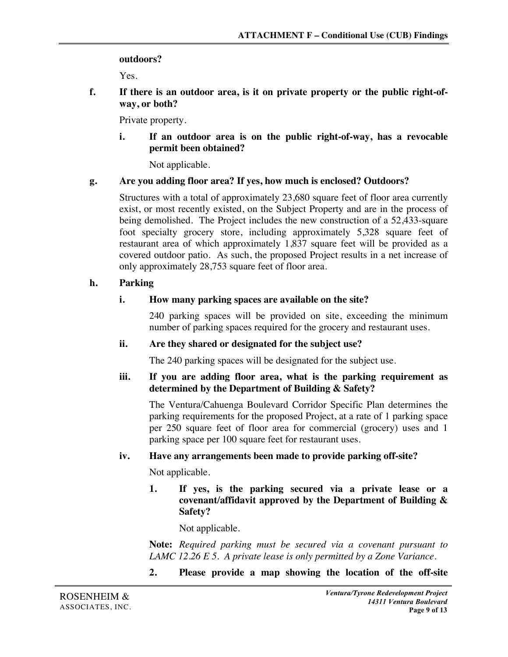#### **outdoors?**

Yes.

**f. If there is an outdoor area, is it on private property or the public right-ofway, or both?** 

Private property.

**i. If an outdoor area is on the public right-of-way, has a revocable permit been obtained?** 

Not applicable.

#### **g. Are you adding floor area? If yes, how much is enclosed? Outdoors?**

Structures with a total of approximately 23,680 square feet of floor area currently exist, or most recently existed, on the Subject Property and are in the process of being demolished. The Project includes the new construction of a 52,433-square foot specialty grocery store, including approximately 5,328 square feet of restaurant area of which approximately 1,837 square feet will be provided as a covered outdoor patio. As such, the proposed Project results in a net increase of only approximately 28,753 square feet of floor area.

#### **h. Parking**

#### **i. How many parking spaces are available on the site?**

240 parking spaces will be provided on site, exceeding the minimum number of parking spaces required for the grocery and restaurant uses.

#### **ii. Are they shared or designated for the subject use?**

The 240 parking spaces will be designated for the subject use.

#### **iii. If you are adding floor area, what is the parking requirement as determined by the Department of Building & Safety?**

The Ventura/Cahuenga Boulevard Corridor Specific Plan determines the parking requirements for the proposed Project, at a rate of 1 parking space per 250 square feet of floor area for commercial (grocery) uses and 1 parking space per 100 square feet for restaurant uses.

#### **iv. Have any arrangements been made to provide parking off-site?**

Not applicable.

#### **1. If yes, is the parking secured via a private lease or a covenant/affidavit approved by the Department of Building & Safety?**

Not applicable.

**Note:** *Required parking must be secured via a covenant pursuant to LAMC 12.26 E 5. A private lease is only permitted by a Zone Variance.*

**2. Please provide a map showing the location of the off-site**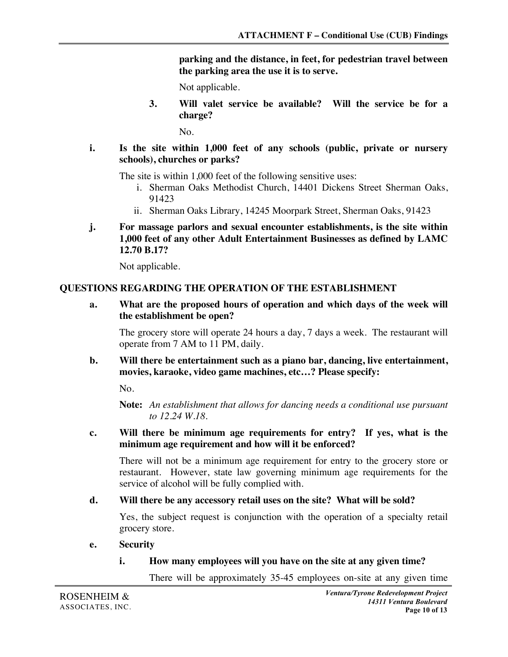**parking and the distance, in feet, for pedestrian travel between the parking area the use it is to serve.**

Not applicable.

**3. Will valet service be available? Will the service be for a charge?** 

No.

**i. Is the site within 1,000 feet of any schools (public, private or nursery schools), churches or parks?** 

The site is within 1,000 feet of the following sensitive uses:

- i. Sherman Oaks Methodist Church, 14401 Dickens Street Sherman Oaks, 91423
- ii. Sherman Oaks Library, 14245 Moorpark Street, Sherman Oaks, 91423
- **j. For massage parlors and sexual encounter establishments, is the site within 1,000 feet of any other Adult Entertainment Businesses as defined by LAMC 12.70 B.17?**

Not applicable.

#### **QUESTIONS REGARDING THE OPERATION OF THE ESTABLISHMENT**

**a. What are the proposed hours of operation and which days of the week will the establishment be open?**

The grocery store will operate 24 hours a day, 7 days a week. The restaurant will operate from 7 AM to 11 PM, daily.

**b. Will there be entertainment such as a piano bar, dancing, live entertainment, movies, karaoke, video game machines, etc…? Please specify:** 

No.

**Note:** *An establishment that allows for dancing needs a conditional use pursuant to 12.24 W.18.*

**c. Will there be minimum age requirements for entry? If yes, what is the minimum age requirement and how will it be enforced?** 

There will not be a minimum age requirement for entry to the grocery store or restaurant. However, state law governing minimum age requirements for the service of alcohol will be fully complied with.

#### **d. Will there be any accessory retail uses on the site? What will be sold?**

Yes, the subject request is conjunction with the operation of a specialty retail grocery store.

- **e. Security**
	- **i. How many employees will you have on the site at any given time?**

There will be approximately 35-45 employees on-site at any given time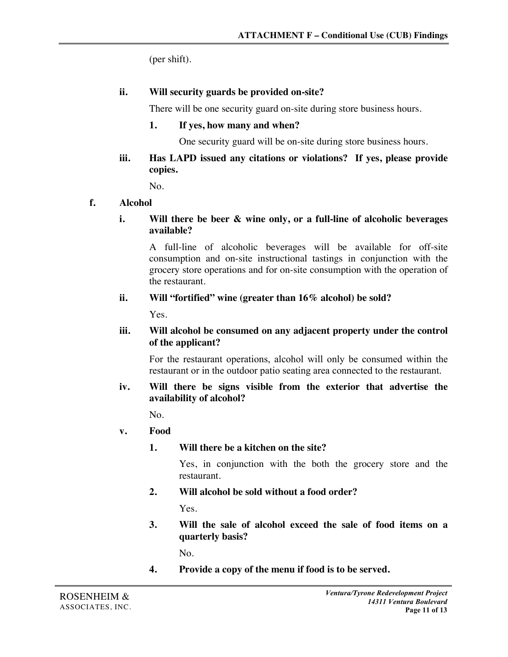(per shift).

### **ii. Will security guards be provided on-site?**

There will be one security guard on-site during store business hours.

# **1. If yes, how many and when?**

One security guard will be on-site during store business hours.

### **iii. Has LAPD issued any citations or violations? If yes, please provide copies.**

No.

#### **f. Alcohol**

**i. Will there be beer & wine only, or a full-line of alcoholic beverages available?** 

A full-line of alcoholic beverages will be available for off-site consumption and on-site instructional tastings in conjunction with the grocery store operations and for on-site consumption with the operation of the restaurant.

# **ii. Will "fortified" wine (greater than 16% alcohol) be sold?**

Yes.

#### **iii. Will alcohol be consumed on any adjacent property under the control of the applicant?**

For the restaurant operations, alcohol will only be consumed within the restaurant or in the outdoor patio seating area connected to the restaurant.

#### **iv. Will there be signs visible from the exterior that advertise the availability of alcohol?**

No.

# **v. Food**

**1. Will there be a kitchen on the site?**

Yes, in conjunction with the both the grocery store and the restaurant.

**2. Will alcohol be sold without a food order?** 

Yes.

**3. Will the sale of alcohol exceed the sale of food items on a quarterly basis?** 

No.

**4. Provide a copy of the menu if food is to be served.**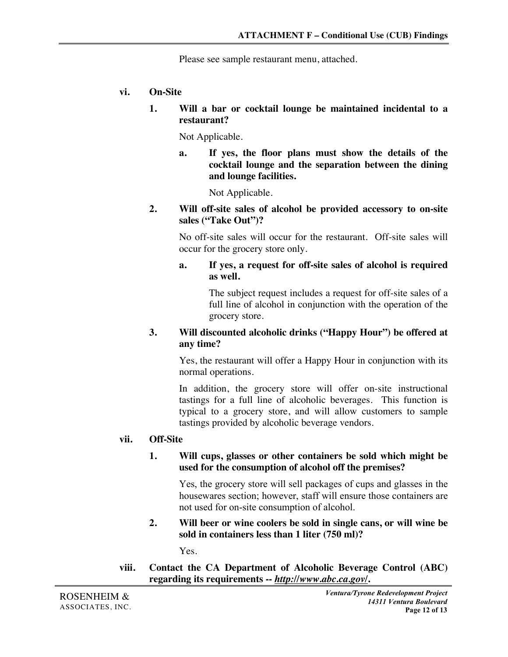Please see sample restaurant menu, attached.

- **vi. On-Site**
	- **1. Will a bar or cocktail lounge be maintained incidental to a restaurant?**

Not Applicable.

**a. If yes, the floor plans must show the details of the cocktail lounge and the separation between the dining and lounge facilities.**

Not Applicable.

**2. Will off-site sales of alcohol be provided accessory to on-site sales ("Take Out")?** 

No off-site sales will occur for the restaurant. Off-site sales will occur for the grocery store only.

**a. If yes, a request for off-site sales of alcohol is required as well.**

> The subject request includes a request for off-site sales of a full line of alcohol in conjunction with the operation of the grocery store.

#### **3. Will discounted alcoholic drinks ("Happy Hour") be offered at any time?**

Yes, the restaurant will offer a Happy Hour in conjunction with its normal operations.

In addition, the grocery store will offer on-site instructional tastings for a full line of alcoholic beverages. This function is typical to a grocery store, and will allow customers to sample tastings provided by alcoholic beverage vendors.

#### **vii. Off-Site**

#### **1. Will cups, glasses or other containers be sold which might be used for the consumption of alcohol off the premises?**

Yes, the grocery store will sell packages of cups and glasses in the housewares section; however, staff will ensure those containers are not used for on-site consumption of alcohol.

**2. Will beer or wine coolers be sold in single cans, or will wine be sold in containers less than 1 liter (750 ml)?**

Yes.

**viii. Contact the CA Department of Alcoholic Beverage Control (ABC) regarding its requirements --** *http://www.abc.ca.gov/***.**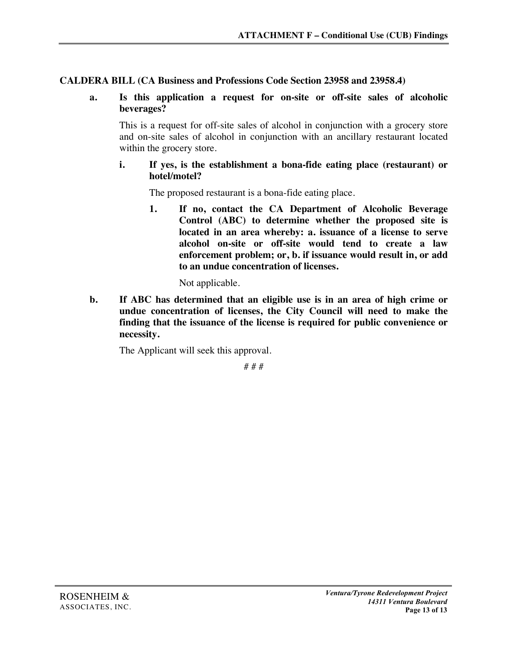#### **CALDERA BILL (CA Business and Professions Code Section 23958 and 23958.4)**

**a. Is this application a request for on-site or off-site sales of alcoholic beverages?** 

This is a request for off-site sales of alcohol in conjunction with a grocery store and on-site sales of alcohol in conjunction with an ancillary restaurant located within the grocery store.

**i. If yes, is the establishment a bona-fide eating place (restaurant) or hotel/motel?** 

The proposed restaurant is a bona-fide eating place.

**1. If no, contact the CA Department of Alcoholic Beverage Control (ABC) to determine whether the proposed site is located in an area whereby: a. issuance of a license to serve alcohol on-site or off-site would tend to create a law enforcement problem; or, b. if issuance would result in, or add to an undue concentration of licenses.**

Not applicable.

**b. If ABC has determined that an eligible use is in an area of high crime or undue concentration of licenses, the City Council will need to make the finding that the issuance of the license is required for public convenience or necessity.**

The Applicant will seek this approval.

# # #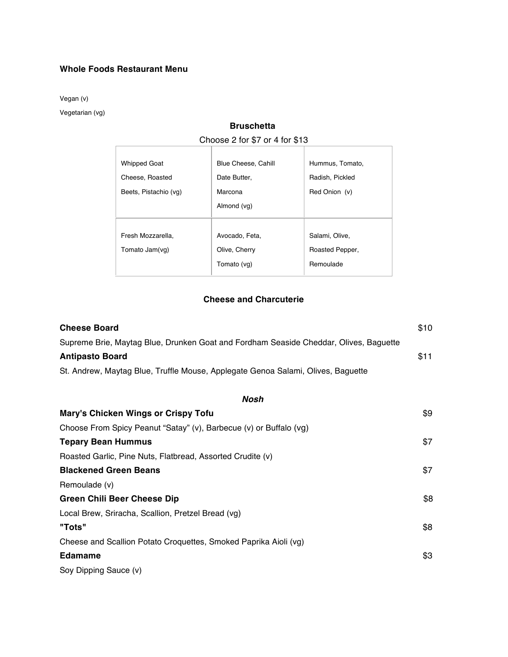#### **Whole Foods Restaurant Menu**

#### Vegan (v)

Vegetarian (vg)

# **Bruschetta**

#### Choose 2 for \$7 or 4 for \$13

| <b>Whipped Goat</b>   | Blue Cheese, Cahill | Hummus, Tomato, |
|-----------------------|---------------------|-----------------|
| Cheese, Roasted       | Date Butter,        | Radish, Pickled |
| Beets, Pistachio (vg) | Marcona             | Red Onion (v)   |
|                       | Almond (vg)         |                 |
|                       |                     |                 |
| Fresh Mozzarella.     | Avocado. Feta.      | Salami, Olive,  |
| Tomato Jam(vg)        | Olive, Cherry       | Roasted Pepper, |
|                       | Tomato (vg)         | Remoulade       |
|                       |                     |                 |

#### **Cheese and Charcuterie**

| <b>Cheese Board</b>                                                                   | \$10 |  |
|---------------------------------------------------------------------------------------|------|--|
| Supreme Brie, Maytag Blue, Drunken Goat and Fordham Seaside Cheddar, Olives, Baguette |      |  |
| <b>Antipasto Board</b>                                                                | \$11 |  |
| St. Andrew, Maytag Blue, Truffle Mouse, Applegate Genoa Salami, Olives, Baguette      |      |  |
| <b>Nosh</b>                                                                           |      |  |
| Mary's Chicken Wings or Crispy Tofu                                                   | \$9  |  |
| Choose From Spicy Peanut "Satay" (v), Barbecue (v) or Buffalo (vg)                    |      |  |
| <b>Tepary Bean Hummus</b>                                                             | \$7  |  |
| Roasted Garlic, Pine Nuts, Flatbread, Assorted Crudite (v)                            |      |  |
| <b>Blackened Green Beans</b>                                                          |      |  |
| Remoulade (v)                                                                         |      |  |
| <b>Green Chili Beer Cheese Dip</b>                                                    |      |  |
| Local Brew, Sriracha, Scallion, Pretzel Bread (vg)                                    |      |  |
| "Tots"                                                                                |      |  |
| Cheese and Scallion Potato Croquettes, Smoked Paprika Aioli (vg)                      |      |  |
| <b>Edamame</b>                                                                        | \$3  |  |
| Soy Dipping Sauce (v)                                                                 |      |  |